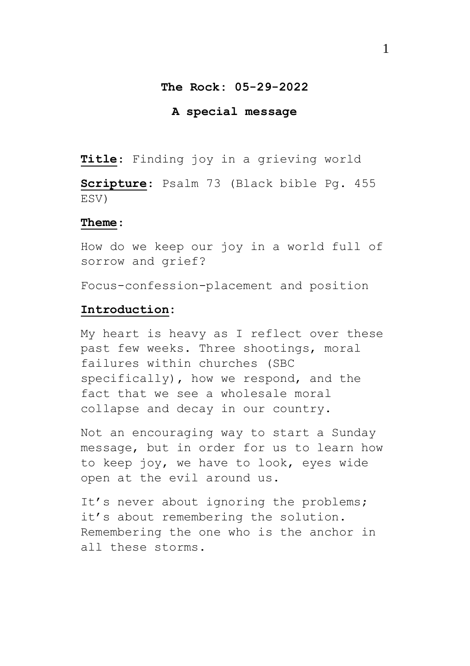### **The Rock: 05-29-2022**

#### **A special message**

**Title**: Finding joy in a grieving world

**Scripture**: Psalm 73 (Black bible Pg. 455 ESV)

#### **Theme**:

How do we keep our joy in a world full of sorrow and grief?

Focus-confession-placement and position

# **Introduction:**

My heart is heavy as I reflect over these past few weeks. Three shootings, moral failures within churches (SBC specifically), how we respond, and the fact that we see a wholesale moral collapse and decay in our country.

Not an encouraging way to start a Sunday message, but in order for us to learn how to keep joy, we have to look, eyes wide open at the evil around us.

It's never about ignoring the problems; it's about remembering the solution. Remembering the one who is the anchor in all these storms.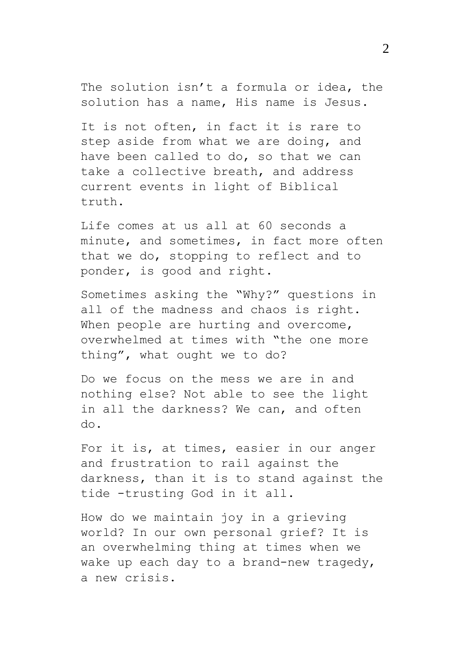The solution isn't a formula or idea, the solution has a name, His name is Jesus.

It is not often, in fact it is rare to step aside from what we are doing, and have been called to do, so that we can take a collective breath, and address current events in light of Biblical truth.

Life comes at us all at 60 seconds a minute, and sometimes, in fact more often that we do, stopping to reflect and to ponder, is good and right.

Sometimes asking the "Why?" questions in all of the madness and chaos is right. When people are hurting and overcome, overwhelmed at times with "the one more thing", what ought we to do?

Do we focus on the mess we are in and nothing else? Not able to see the light in all the darkness? We can, and often do.

For it is, at times, easier in our anger and frustration to rail against the darkness, than it is to stand against the tide -trusting God in it all.

How do we maintain joy in a grieving world? In our own personal grief? It is an overwhelming thing at times when we wake up each day to a brand-new tragedy, a new crisis.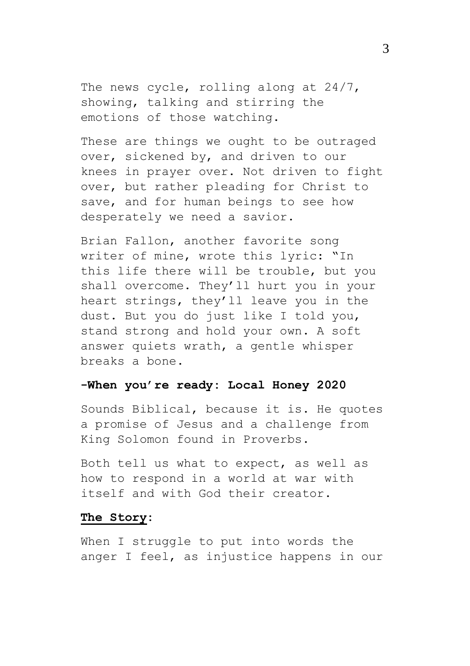The news cycle, rolling along at 24/7, showing, talking and stirring the emotions of those watching.

These are things we ought to be outraged over, sickened by, and driven to our knees in prayer over. Not driven to fight over, but rather pleading for Christ to save, and for human beings to see how desperately we need a savior.

Brian Fallon, another favorite song writer of mine, wrote this lyric: "In this life there will be trouble, but you shall overcome. They'll hurt you in your heart strings, they'll leave you in the dust. But you do just like I told you, stand strong and hold your own. A soft answer quiets wrath, a gentle whisper breaks a bone.

# **-When you're ready: Local Honey 2020**

Sounds Biblical, because it is. He quotes a promise of Jesus and a challenge from King Solomon found in Proverbs.

Both tell us what to expect, as well as how to respond in a world at war with itself and with God their creator.

## **The Story:**

When I struggle to put into words the anger I feel, as injustice happens in our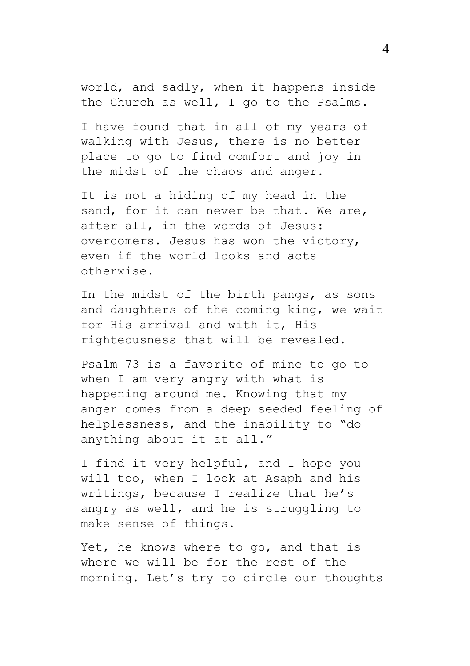world, and sadly, when it happens inside the Church as well, I go to the Psalms.

I have found that in all of my years of walking with Jesus, there is no better place to go to find comfort and joy in the midst of the chaos and anger.

It is not a hiding of my head in the sand, for it can never be that. We are, after all, in the words of Jesus: overcomers. Jesus has won the victory, even if the world looks and acts otherwise.

In the midst of the birth pangs, as sons and daughters of the coming king, we wait for His arrival and with it, His righteousness that will be revealed.

Psalm 73 is a favorite of mine to go to when I am very angry with what is happening around me. Knowing that my anger comes from a deep seeded feeling of helplessness, and the inability to "do anything about it at all."

I find it very helpful, and I hope you will too, when I look at Asaph and his writings, because I realize that he's angry as well, and he is struggling to make sense of things.

Yet, he knows where to go, and that is where we will be for the rest of the morning. Let's try to circle our thoughts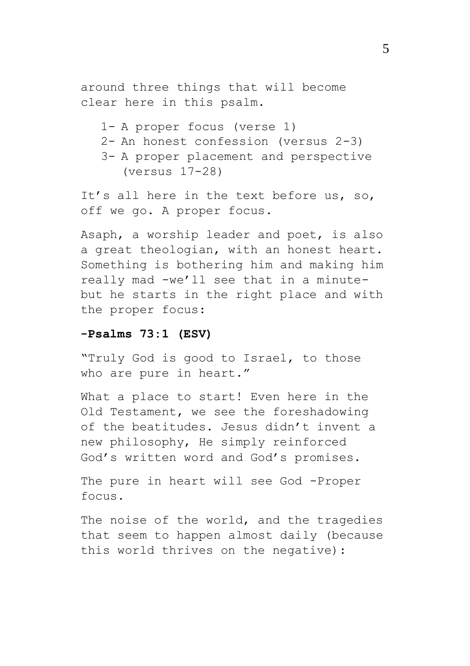around three things that will become clear here in this psalm.

1- A proper focus (verse 1) 2- An honest confession (versus 2-3) 3- A proper placement and perspective (versus 17-28)

It's all here in the text before us, so, off we go. A proper focus.

Asaph, a worship leader and poet, is also a great theologian, with an honest heart. Something is bothering him and making him really mad -we'll see that in a minutebut he starts in the right place and with the proper focus:

#### **-Psalms 73:1 (ESV)**

"Truly God is good to Israel, to those who are pure in heart."

What a place to start! Even here in the Old Testament, we see the foreshadowing of the beatitudes. Jesus didn't invent a new philosophy, He simply reinforced God's written word and God's promises.

The pure in heart will see God -Proper focus.

The noise of the world, and the tragedies that seem to happen almost daily (because this world thrives on the negative):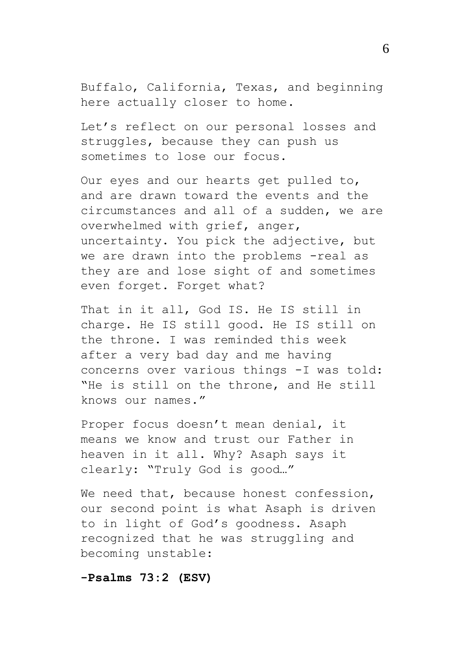Buffalo, California, Texas, and beginning here actually closer to home.

Let's reflect on our personal losses and struggles, because they can push us sometimes to lose our focus.

Our eyes and our hearts get pulled to, and are drawn toward the events and the circumstances and all of a sudden, we are overwhelmed with grief, anger, uncertainty. You pick the adjective, but we are drawn into the problems -real as they are and lose sight of and sometimes even forget. Forget what?

That in it all, God IS. He IS still in charge. He IS still good. He IS still on the throne. I was reminded this week after a very bad day and me having concerns over various things -I was told: "He is still on the throne, and He still knows our names."

Proper focus doesn't mean denial, it means we know and trust our Father in heaven in it all. Why? Asaph says it clearly: "Truly God is good…"

We need that, because honest confession, our second point is what Asaph is driven to in light of God's goodness. Asaph recognized that he was struggling and becoming unstable:

**-Psalms 73:2 (ESV)**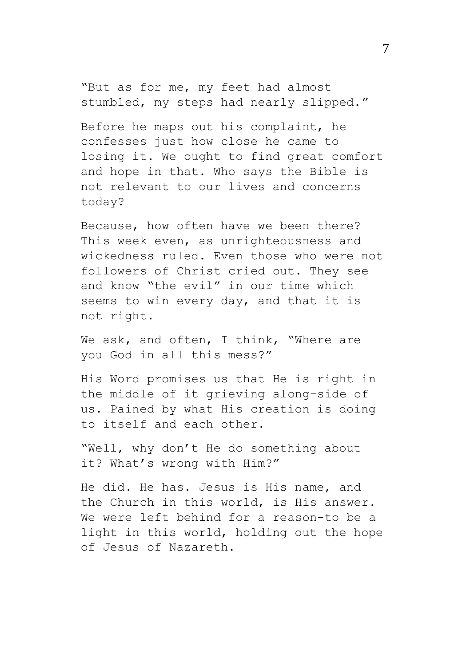"But as for me, my feet had almost stumbled, my steps had nearly slipped."

Before he maps out his complaint, he confesses just how close he came to losing it. We ought to find great comfort and hope in that. Who says the Bible is not relevant to our lives and concerns today?

Because, how often have we been there? This week even, as unrighteousness and wickedness ruled. Even those who were not followers of Christ cried out. They see and know "the evil" in our time which seems to win every day, and that it is not right.

We ask, and often, I think, "Where are you God in all this mess?"

His Word promises us that He is right in the middle of it grieving along-side of us. Pained by what His creation is doing to itself and each other.

"Well, why don't He do something about it? What's wrong with Him?"

He did. He has. Jesus is His name, and the Church in this world, is His answer. We were left behind for a reason-to be a light in this world, holding out the hope of Jesus of Nazareth.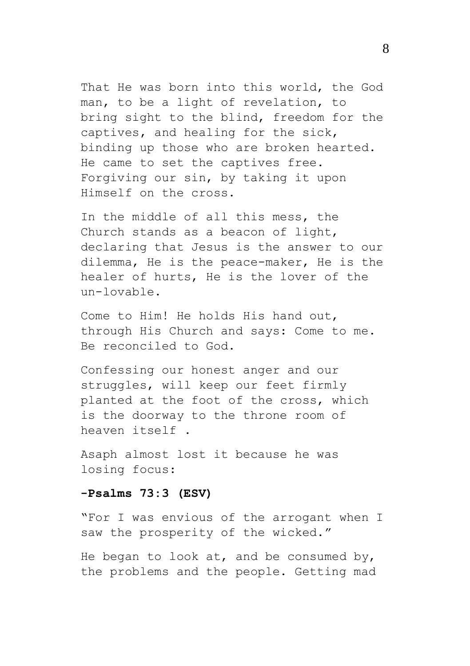That He was born into this world, the God man, to be a light of revelation, to bring sight to the blind, freedom for the captives, and healing for the sick, binding up those who are broken hearted. He came to set the captives free. Forgiving our sin, by taking it upon Himself on the cross.

In the middle of all this mess, the Church stands as a beacon of light, declaring that Jesus is the answer to our dilemma, He is the peace-maker, He is the healer of hurts, He is the lover of the un-lovable.

Come to Him! He holds His hand out, through His Church and says: Come to me. Be reconciled to God.

Confessing our honest anger and our struggles, will keep our feet firmly planted at the foot of the cross, which is the doorway to the throne room of heaven itself .

Asaph almost lost it because he was losing focus:

## **-Psalms 73:3 (ESV)**

"For I was envious of the arrogant when I saw the prosperity of the wicked."

He began to look at, and be consumed by, the problems and the people. Getting mad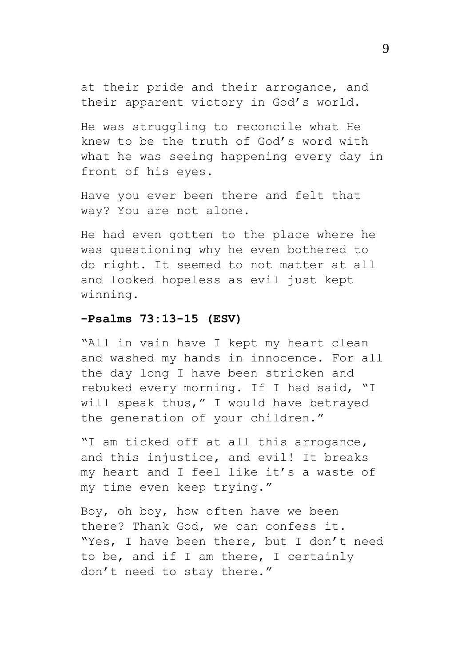at their pride and their arrogance, and their apparent victory in God's world.

He was struggling to reconcile what He knew to be the truth of God's word with what he was seeing happening every day in front of his eyes.

Have you ever been there and felt that way? You are not alone.

He had even gotten to the place where he was questioning why he even bothered to do right. It seemed to not matter at all and looked hopeless as evil just kept winning.

## **-Psalms 73:13-15 (ESV)**

"All in vain have I kept my heart clean and washed my hands in innocence. For all the day long I have been stricken and rebuked every morning. If I had said, "I will speak thus," I would have betrayed the generation of your children."

"I am ticked off at all this arrogance, and this injustice, and evil! It breaks my heart and I feel like it's a waste of my time even keep trying."

Boy, oh boy, how often have we been there? Thank God, we can confess it. "Yes, I have been there, but I don't need to be, and if I am there, I certainly don't need to stay there."

9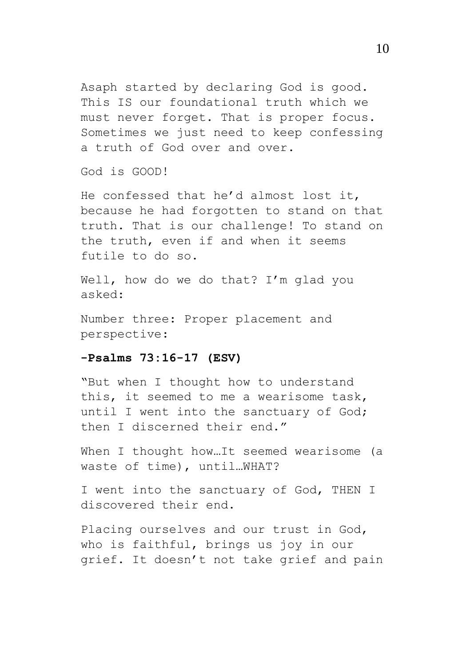Asaph started by declaring God is good. This IS our foundational truth which we must never forget. That is proper focus. Sometimes we just need to keep confessing a truth of God over and over.

God is GOOD!

He confessed that he'd almost lost it, because he had forgotten to stand on that truth. That is our challenge! To stand on the truth, even if and when it seems futile to do so.

Well, how do we do that? I'm glad you asked:

Number three: Proper placement and perspective:

### **-Psalms 73:16-17 (ESV)**

"But when I thought how to understand this, it seemed to me a wearisome task, until I went into the sanctuary of God; then I discerned their end."

When I thought how...It seemed wearisome (a waste of time), until…WHAT?

I went into the sanctuary of God, THEN I discovered their end.

Placing ourselves and our trust in God, who is faithful, brings us joy in our grief. It doesn't not take grief and pain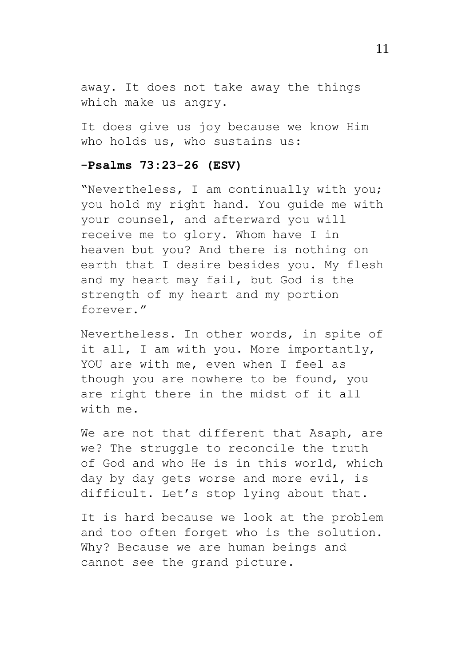away. It does not take away the things which make us angry.

It does give us joy because we know Him who holds us, who sustains us:

### **-Psalms 73:23-26 (ESV)**

"Nevertheless, I am continually with you; you hold my right hand. You guide me with your counsel, and afterward you will receive me to glory. Whom have I in heaven but you? And there is nothing on earth that I desire besides you. My flesh and my heart may fail, but God is the strength of my heart and my portion forever."

Nevertheless. In other words, in spite of it all, I am with you. More importantly, YOU are with me, even when I feel as though you are nowhere to be found, you are right there in the midst of it all with me.

We are not that different that Asaph, are we? The struggle to reconcile the truth of God and who He is in this world, which day by day gets worse and more evil, is difficult. Let's stop lying about that.

It is hard because we look at the problem and too often forget who is the solution. Why? Because we are human beings and cannot see the grand picture.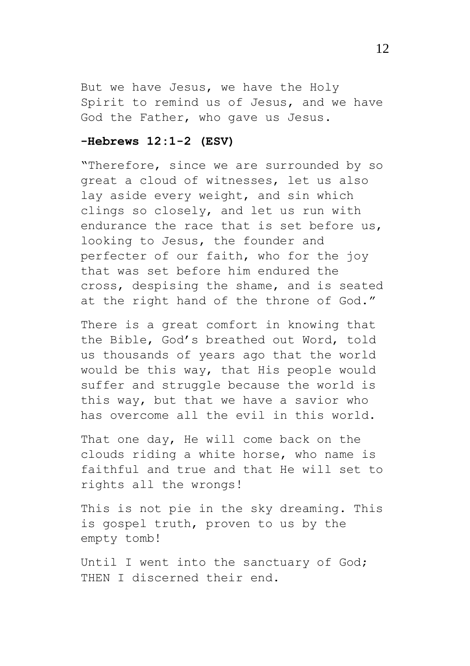But we have Jesus, we have the Holy Spirit to remind us of Jesus, and we have God the Father, who gave us Jesus.

## **-Hebrews 12:1-2 (ESV)**

"Therefore, since we are surrounded by so great a cloud of witnesses, let us also lay aside every weight, and sin which clings so closely, and let us run with endurance the race that is set before us, looking to Jesus, the founder and perfecter of our faith, who for the joy that was set before him endured the cross, despising the shame, and is seated at the right hand of the throne of God."

There is a great comfort in knowing that the Bible, God's breathed out Word, told us thousands of years ago that the world would be this way, that His people would suffer and struggle because the world is this way, but that we have a savior who has overcome all the evil in this world.

That one day, He will come back on the clouds riding a white horse, who name is faithful and true and that He will set to rights all the wrongs!

This is not pie in the sky dreaming. This is gospel truth, proven to us by the empty tomb!

Until I went into the sanctuary of God; THEN I discerned their end.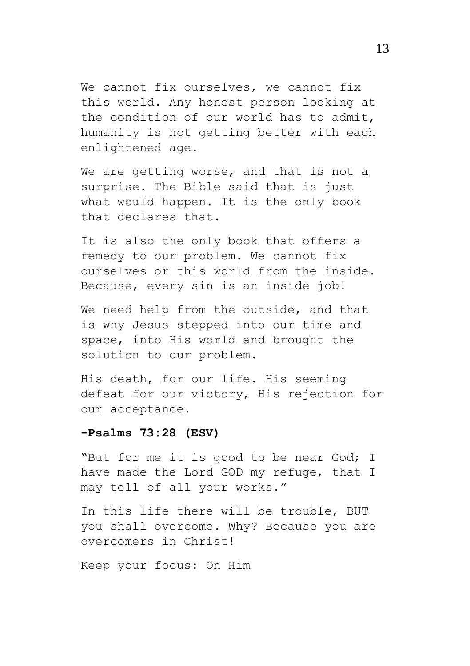We cannot fix ourselves, we cannot fix this world. Any honest person looking at the condition of our world has to admit, humanity is not getting better with each enlightened age.

We are getting worse, and that is not a surprise. The Bible said that is just what would happen. It is the only book that declares that.

It is also the only book that offers a remedy to our problem. We cannot fix ourselves or this world from the inside. Because, every sin is an inside job!

We need help from the outside, and that is why Jesus stepped into our time and space, into His world and brought the solution to our problem.

His death, for our life. His seeming defeat for our victory, His rejection for our acceptance.

## **-Psalms 73:28 (ESV)**

"But for me it is good to be near God; I have made the Lord GOD my refuge, that I may tell of all your works."

In this life there will be trouble, BUT you shall overcome. Why? Because you are overcomers in Christ!

Keep your focus: On Him